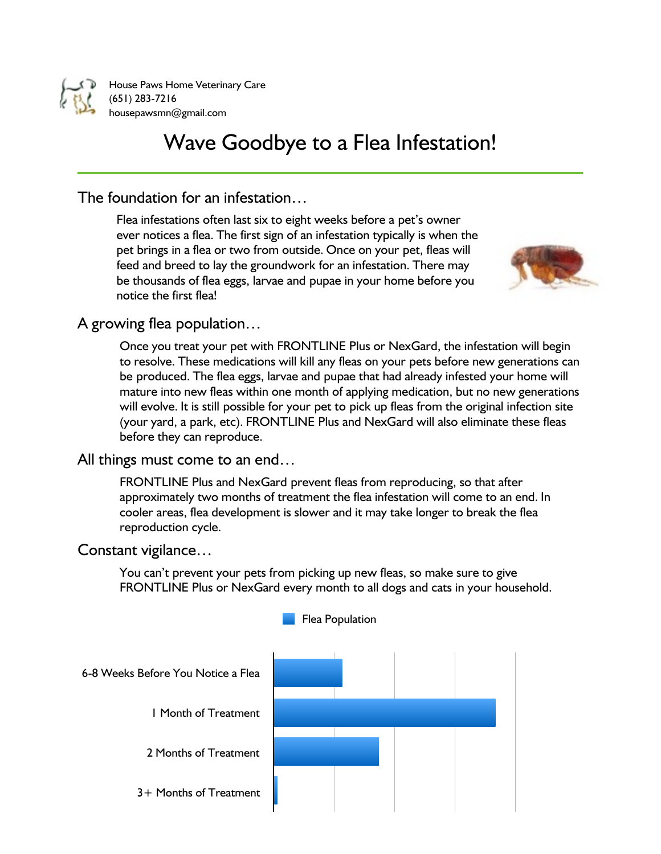

House Paws Home Veterinary Care (651) 283-7216 housepawsmn@gmail.com

# Wave Goodbye to a Flea Infestation!

# The foundation for an infestation…

Flea infestations often last six to eight weeks before a pet's owner ever notices a flea. The first sign of an infestation typically is when the pet brings in a flea or two from outside. Once on your pet, fleas will feed and breed to lay the groundwork for an infestation. There may be thousands of flea eggs, larvae and pupae in your home before you notice the first flea!



## A growing flea population…

Once you treat your pet with FRONTLINE Plus or NexGard, the infestation will begin to resolve. These medications will kill any fleas on your pets before new generations can be produced. The flea eggs, larvae and pupae that had already infested your home will mature into new fleas within one month of applying medication, but no new generations will evolve. It is still possible for your pet to pick up fleas from the original infection site (your yard, a park, etc). FRONTLINE Plus and NexGard will also eliminate these fleas before they can reproduce.

## All things must come to an end…

FRONTLINE Plus and NexGard prevent fleas from reproducing, so that after approximately two months of treatment the flea infestation will come to an end. In cooler areas, flea development is slower and it may take longer to break the flea reproduction cycle.

## Constant vigilance…

You can't prevent your pets from picking up new fleas, so make sure to give FRONTLINE Plus or NexGard every month to all dogs and cats in your household.

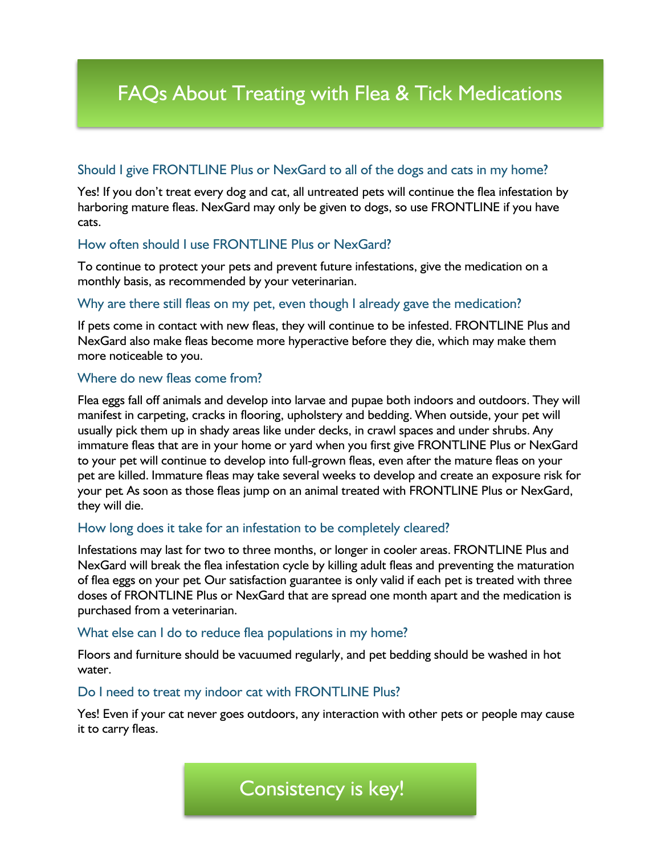# FAQs About Treating with Flea & Tick Medications

## Should I give FRONTLINE Plus or NexGard to all of the dogs and cats in my home?

Yes! If you don't treat every dog and cat, all untreated pets will continue the flea infestation by harboring mature fleas. NexGard may only be given to dogs, so use FRONTLINE if you have cats.

### How often should I use FRONTLINE Plus or NexGard?

To continue to protect your pets and prevent future infestations, give the medication on a monthly basis, as recommended by your veterinarian.

### Why are there still fleas on my pet, even though I already gave the medication?

If pets come in contact with new fleas, they will continue to be infested. FRONTLINE Plus and NexGard also make fleas become more hyperactive before they die, which may make them more noticeable to you.

#### Where do new fleas come from?

Flea eggs fall off animals and develop into larvae and pupae both indoors and outdoors. They will manifest in carpeting, cracks in flooring, upholstery and bedding. When outside, your pet will usually pick them up in shady areas like under decks, in crawl spaces and under shrubs. Any immature fleas that are in your home or yard when you first give FRONTLINE Plus or NexGard to your pet will continue to develop into full-grown fleas, even after the mature fleas on your pet are killed. Immature fleas may take several weeks to develop and create an exposure risk for your pet. As soon as those fleas jump on an animal treated with FRONTLINE Plus or NexGard, they will die.

### How long does it take for an infestation to be completely cleared?

Infestations may last for two to three months, or longer in cooler areas. FRONTLINE Plus and NexGard will break the flea infestation cycle by killing adult fleas and preventing the maturation of flea eggs on your pet. Our satisfaction guarantee is only valid if each pet is treated with three doses of FRONTLINE Plus or NexGard that are spread one month apart and the medication is purchased from a veterinarian.

#### What else can I do to reduce flea populations in my home?

Floors and furniture should be vacuumed regularly, and pet bedding should be washed in hot water.

#### Do I need to treat my indoor cat with FRONTLINE Plus?

Yes! Even if your cat never goes outdoors, any interaction with other pets or people may cause it to carry fleas.

Consistency is key!